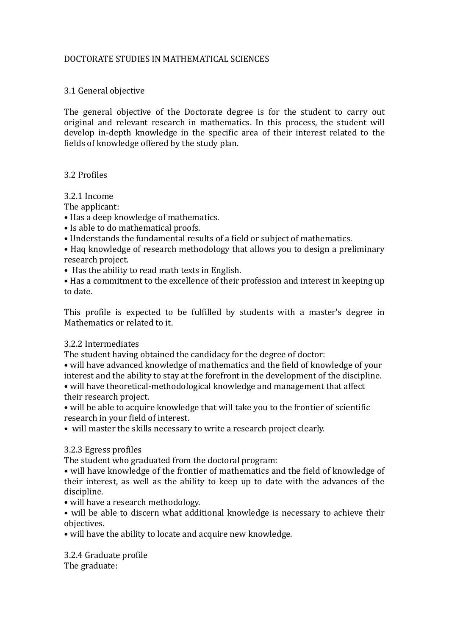#### DOCTORATE STUDIES IN MATHEMATICAL SCIENCES

#### 3.1 General objective

The general objective of the Doctorate degree is for the student to carry out original and relevant research in mathematics. In this process, the student will develop in-depth knowledge in the specific area of their interest related to the fields of knowledge offered by the study plan.

#### 3.2 Profiles

3.2.1 Income 

The applicant:

- Has a deep knowledge of mathematics.
- Is able to do mathematical proofs.
- Understands the fundamental results of a field or subject of mathematics.
- Hag knowledge of research methodology that allows you to design a preliminary research project.
- Has the ability to read math texts in English.

• Has a commitment to the excellence of their profession and interest in keeping up to date. 

This profile is expected to be fulfilled by students with a master's degree in Mathematics or related to it.

## 3.2.2 Intermediates

The student having obtained the candidacy for the degree of doctor:

• will have advanced knowledge of mathematics and the field of knowledge of your interest and the ability to stay at the forefront in the development of the discipline.

• will have theoretical-methodological knowledge and management that affect their research project.

• will be able to acquire knowledge that will take you to the frontier of scientific research in your field of interest.

• will master the skills necessary to write a research project clearly.

## 3.2.3 Egress profiles

The student who graduated from the doctoral program:

• will have knowledge of the frontier of mathematics and the field of knowledge of their interest, as well as the ability to keep up to date with the advances of the discipline. 

• will have a research methodology.

• will be able to discern what additional knowledge is necessary to achieve their objectives. 

• will have the ability to locate and acquire new knowledge.

3.2.4 Graduate profile The graduate: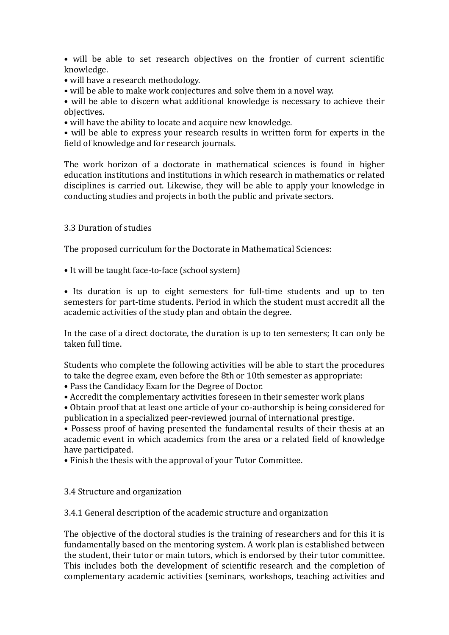• will be able to set research objectives on the frontier of current scientific knowledge. 

• will have a research methodology.

• will be able to make work conjectures and solve them in a novel way.

- will be able to discern what additional knowledge is necessary to achieve their objectives.
- will have the ability to locate and acquire new knowledge.

• will be able to express your research results in written form for experts in the field of knowledge and for research journals.

The work horizon of a doctorate in mathematical sciences is found in higher education institutions and institutions in which research in mathematics or related disciplines is carried out. Likewise, they will be able to apply your knowledge in conducting studies and projects in both the public and private sectors.

## 3.3 Duration of studies

The proposed curriculum for the Doctorate in Mathematical Sciences:

• It will be taught face-to-face (school system)

• Its duration is up to eight semesters for full-time students and up to ten semesters for part-time students. Period in which the student must accredit all the academic activities of the study plan and obtain the degree.

In the case of a direct doctorate, the duration is up to ten semesters; It can only be taken full time.

Students who complete the following activities will be able to start the procedures to take the degree exam, even before the 8th or 10th semester as appropriate:

- Pass the Candidacy Exam for the Degree of Doctor.
- Accredit the complementary activities foreseen in their semester work plans

• Obtain proof that at least one article of your co-authorship is being considered for publication in a specialized peer-reviewed iournal of international prestige.

• Possess proof of having presented the fundamental results of their thesis at an academic event in which academics from the area or a related field of knowledge have participated.

• Finish the thesis with the approval of your Tutor Committee.

#### 3.4 Structure and organization

3.4.1 General description of the academic structure and organization

The objective of the doctoral studies is the training of researchers and for this it is fundamentally based on the mentoring system. A work plan is established between the student, their tutor or main tutors, which is endorsed by their tutor committee. This includes both the development of scientific research and the completion of complementary academic activities (seminars, workshops, teaching activities and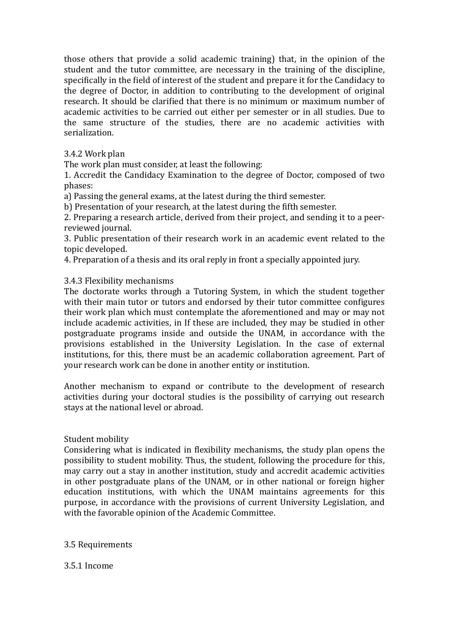those others that provide a solid academic training) that, in the opinion of the student and the tutor committee, are necessary in the training of the discipline, specifically in the field of interest of the student and prepare it for the Candidacy to the degree of Doctor, in addition to contributing to the development of original research. It should be clarified that there is no minimum or maximum number of academic activities to be carried out either per semester or in all studies. Due to the same structure of the studies, there are no academic activities with serialization. 

# 3.4.2 Work plan

The work plan must consider, at least the following:

1. Accredit the Candidacy Examination to the degree of Doctor, composed of two phases: 

a) Passing the general exams, at the latest during the third semester.

b) Presentation of your research, at the latest during the fifth semester.

2. Preparing a research article, derived from their project, and sending it to a peerreviewed journal.

3. Public presentation of their research work in an academic event related to the topic developed.

4. Preparation of a thesis and its oral reply in front a specially appointed jury.

# 3.4.3 Flexibility mechanisms

The doctorate works through a Tutoring System, in which the student together with their main tutor or tutors and endorsed by their tutor committee configures their work plan which must contemplate the aforementioned and may or may not include academic activities, in If these are included, they may be studied in other postgraduate programs inside and outside the UNAM, in accordance with the provisions established in the University Legislation. In the case of external institutions, for this, there must be an academic collaboration agreement. Part of your research work can be done in another entity or institution.

Another mechanism to expand or contribute to the development of research activities during your doctoral studies is the possibility of carrying out research stays at the national level or abroad.

## Student mobility

Considering what is indicated in flexibility mechanisms, the study plan opens the possibility to student mobility. Thus, the student, following the procedure for this, may carry out a stay in another institution, study and accredit academic activities in other postgraduate plans of the UNAM, or in other national or foreign higher education institutions, with which the UNAM maintains agreements for this purpose, in accordance with the provisions of current University Legislation, and with the favorable opinion of the Academic Committee.

## 3.5 Requirements

## 3.5.1 Income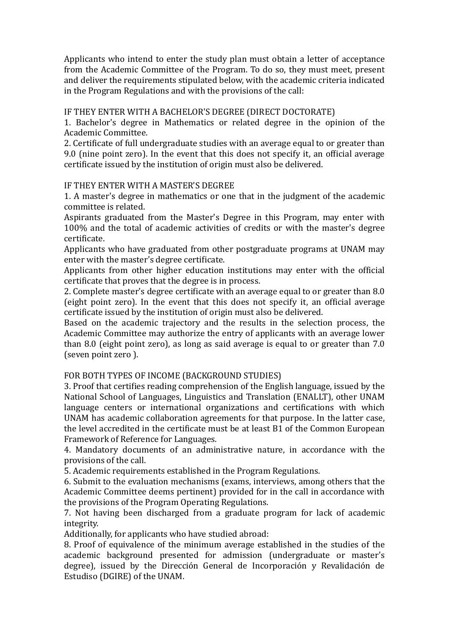Applicants who intend to enter the study plan must obtain a letter of acceptance from the Academic Committee of the Program. To do so, they must meet, present and deliver the requirements stipulated below, with the academic criteria indicated in the Program Regulations and with the provisions of the call:

## IF THEY ENTER WITH A BACHELOR'S DEGREE (DIRECT DOCTORATE)

1. Bachelor's degree in Mathematics or related degree in the opinion of the Academic Committee. 

2. Certificate of full undergraduate studies with an average equal to or greater than 9.0 (nine point zero). In the event that this does not specify it, an official average certificate issued by the institution of origin must also be delivered.

#### IF THEY ENTER WITH A MASTER'S DEGREE

1. A master's degree in mathematics or one that in the judgment of the academic committee is related.

Aspirants graduated from the Master's Degree in this Program, may enter with 100% and the total of academic activities of credits or with the master's degree certificate.

Applicants who have graduated from other postgraduate programs at UNAM may enter with the master's degree certificate.

Applicants from other higher education institutions may enter with the official certificate that proves that the degree is in process.

2. Complete master's degree certificate with an average equal to or greater than 8.0 (eight point zero). In the event that this does not specify it, an official average certificate issued by the institution of origin must also be delivered.

Based on the academic trajectory and the results in the selection process, the Academic Committee may authorize the entry of applicants with an average lower than 8.0 (eight point zero), as long as said average is equal to or greater than  $7.0$ (seven point zero ).

FOR BOTH TYPES OF INCOME (BACKGROUND STUDIES)

3. Proof that certifies reading comprehension of the English language, issued by the National School of Languages, Linguistics and Translation (ENALLT), other UNAM language centers or international organizations and certifications with which UNAM has academic collaboration agreements for that purpose. In the latter case, the level accredited in the certificate must be at least B1 of the Common European Framework of Reference for Languages.

4. Mandatory documents of an administrative nature, in accordance with the provisions of the call.

5. Academic requirements established in the Program Regulations.

6. Submit to the evaluation mechanisms (exams, interviews, among others that the Academic Committee deems pertinent) provided for in the call in accordance with the provisions of the Program Operating Regulations.

7. Not having been discharged from a graduate program for lack of academic integrity. 

Additionally, for applicants who have studied abroad:

8. Proof of equivalence of the minimum average established in the studies of the academic background presented for admission (undergraduate or master's  $degree$ ), issued by the Dirección General de Incorporación y Revalidación de Estudiso (DGIRE) of the UNAM.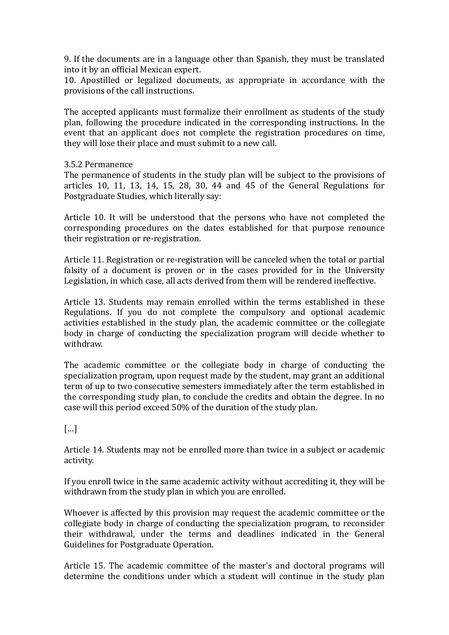9. If the documents are in a language other than Spanish, they must be translated into it by an official Mexican expert.

10. Apostilled or legalized documents, as appropriate in accordance with the provisions of the call instructions.

The accepted applicants must formalize their enrollment as students of the study plan, following the procedure indicated in the corresponding instructions. In the event that an applicant does not complete the registration procedures on time, they will lose their place and must submit to a new call.

#### 3.5.2 Permanence

The permanence of students in the study plan will be subject to the provisions of articles  $10$ ,  $11$ ,  $13$ ,  $14$ ,  $15$ ,  $28$ ,  $30$ ,  $44$  and  $45$  of the General Regulations for Postgraduate Studies, which literally say:

Article 10. It will be understood that the persons who have not completed the corresponding procedures on the dates established for that purpose renounce their registration or re-registration.

Article 11. Registration or re-registration will be canceled when the total or partial falsity of a document is proven or in the cases provided for in the University Legislation, in which case, all acts derived from them will be rendered ineffective.

Article 13. Students may remain enrolled within the terms established in these Regulations. If you do not complete the compulsory and optional academic activities established in the study plan, the academic committee or the collegiate body in charge of conducting the specialization program will decide whether to withdraw. 

The academic committee or the collegiate body in charge of conducting the specialization program, upon request made by the student, may grant an additional term of up to two consecutive semesters immediately after the term established in the corresponding study plan, to conclude the credits and obtain the degree. In no case will this period exceed 50% of the duration of the study plan.

# […]

Article 14. Students may not be enrolled more than twice in a subject or academic activity. 

If you enroll twice in the same academic activity without accrediting it, they will be withdrawn from the study plan in which you are enrolled.

Whoever is affected by this provision may request the academic committee or the collegiate body in charge of conducting the specialization program, to reconsider their withdrawal, under the terms and deadlines indicated in the General Guidelines for Postgraduate Operation.

Article 15. The academic committee of the master's and doctoral programs will determine the conditions under which a student will continue in the study plan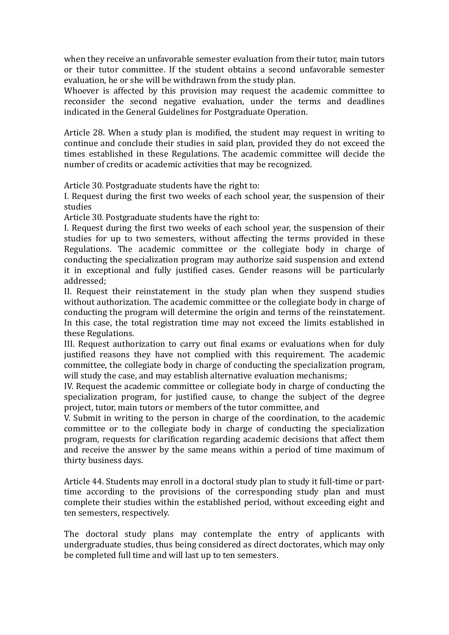when they receive an unfavorable semester evaluation from their tutor, main tutors or their tutor committee. If the student obtains a second unfavorable semester evaluation, he or she will be withdrawn from the study plan.

Whoever is affected by this provision may request the academic committee to reconsider the second negative evaluation, under the terms and deadlines indicated in the General Guidelines for Postgraduate Operation.

Article 28. When a study plan is modified, the student may request in writing to continue and conclude their studies in said plan, provided they do not exceed the times established in these Regulations. The academic committee will decide the number of credits or academic activities that may be recognized.

Article 30. Postgraduate students have the right to:

I. Request during the first two weeks of each school vear, the suspension of their studies 

Article 30. Postgraduate students have the right to:

I. Request during the first two weeks of each school vear, the suspension of their studies for up to two semesters, without affecting the terms provided in these Regulations. The academic committee or the collegiate body in charge of conducting the specialization program may authorize said suspension and extend it in exceptional and fully justified cases. Gender reasons will be particularly addressed; 

II. Request their reinstatement in the study plan when they suspend studies without authorization. The academic committee or the collegiate body in charge of conducting the program will determine the origin and terms of the reinstatement. In this case, the total registration time may not exceed the limits established in these Regulations. 

III. Request authorization to carry out final exams or evaluations when for duly justified reasons they have not complied with this requirement. The academic committee, the collegiate body in charge of conducting the specialization program, will study the case, and may establish alternative evaluation mechanisms;

IV. Request the academic committee or collegiate body in charge of conducting the specialization program, for justified cause, to change the subject of the degree project, tutor, main tutors or members of the tutor committee, and

V. Submit in writing to the person in charge of the coordination, to the academic committee or to the collegiate body in charge of conducting the specialization program, requests for clarification regarding academic decisions that affect them and receive the answer by the same means within a period of time maximum of thirty business days.

Article 44. Students may enroll in a doctoral study plan to study it full-time or parttime according to the provisions of the corresponding study plan and must complete their studies within the established period, without exceeding eight and ten semesters, respectively.

The doctoral study plans may contemplate the entry of applicants with undergraduate studies, thus being considered as direct doctorates, which may only be completed full time and will last up to ten semesters.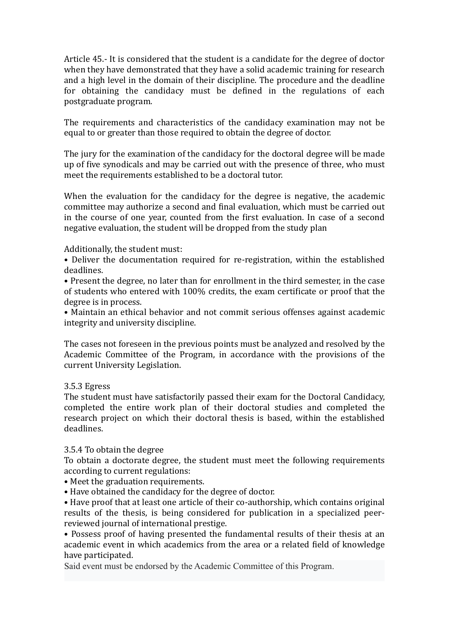Article 45.- It is considered that the student is a candidate for the degree of doctor when they have demonstrated that they have a solid academic training for research and a high level in the domain of their discipline. The procedure and the deadline for obtaining the candidacy must be defined in the regulations of each postgraduate program.

The requirements and characteristics of the candidacy examination may not be equal to or greater than those required to obtain the degree of doctor.

The jury for the examination of the candidacy for the doctoral degree will be made up of five synodicals and may be carried out with the presence of three, who must meet the requirements established to be a doctoral tutor.

When the evaluation for the candidacy for the degree is negative, the academic committee may authorize a second and final evaluation, which must be carried out in the course of one year, counted from the first evaluation. In case of a second negative evaluation, the student will be dropped from the study plan

#### Additionally, the student must:

• Deliver the documentation required for re-registration, within the established deadlines. 

• Present the degree, no later than for enrollment in the third semester, in the case of students who entered with 100% credits, the exam certificate or proof that the degree is in process.

• Maintain an ethical behavior and not commit serious offenses against academic integrity and university discipline.

The cases not foreseen in the previous points must be analyzed and resolved by the Academic Committee of the Program, in accordance with the provisions of the current University Legislation.

#### 3.5.3 Egress

The student must have satisfactorily passed their exam for the Doctoral Candidacy, completed the entire work plan of their doctoral studies and completed the research project on which their doctoral thesis is based, within the established deadlines. 

#### 3.5.4 To obtain the degree

To obtain a doctorate degree, the student must meet the following requirements according to current regulations:

- Meet the graduation requirements.
- Have obtained the candidacy for the degree of doctor.

• Have proof that at least one article of their co-authorship, which contains original results of the thesis, is being considered for publication in a specialized peerreviewed journal of international prestige.

• Possess proof of having presented the fundamental results of their thesis at an academic event in which academics from the area or a related field of knowledge have participated.

Said event must be endorsed by the Academic Committee of this Program.